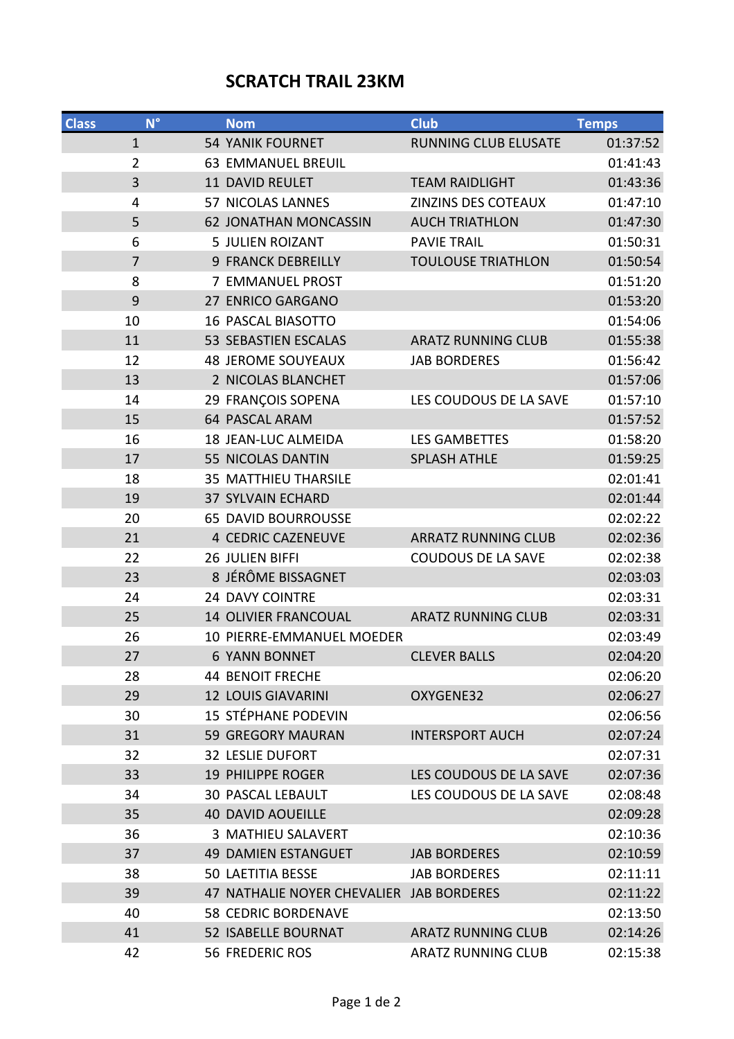## **SCRATCH TRAIL 23KM**

| <b>Class</b> | $N^{\circ}$    | <b>Nom</b>                               | Club                        | <b>Temps</b> |
|--------------|----------------|------------------------------------------|-----------------------------|--------------|
|              | $\mathbf{1}$   | <b>54 YANIK FOURNET</b>                  | <b>RUNNING CLUB ELUSATE</b> | 01:37:52     |
|              | $\overline{2}$ | <b>63 EMMANUEL BREUIL</b>                |                             | 01:41:43     |
|              | 3              | 11 DAVID REULET                          | <b>TEAM RAIDLIGHT</b>       | 01:43:36     |
|              | 4              | <b>57 NICOLAS LANNES</b>                 | ZINZINS DES COTEAUX         | 01:47:10     |
|              | 5              | <b>62 JONATHAN MONCASSIN</b>             | <b>AUCH TRIATHLON</b>       | 01:47:30     |
|              | 6              | <b>5 JULIEN ROIZANT</b>                  | <b>PAVIE TRAIL</b>          | 01:50:31     |
|              | $\overline{7}$ | <b>9 FRANCK DEBREILLY</b>                | <b>TOULOUSE TRIATHLON</b>   | 01:50:54     |
|              | 8              | 7 EMMANUEL PROST                         |                             | 01:51:20     |
|              | 9              | 27 ENRICO GARGANO                        |                             | 01:53:20     |
|              | 10             | <b>16 PASCAL BIASOTTO</b>                |                             | 01:54:06     |
|              | 11             | <b>53 SEBASTIEN ESCALAS</b>              | <b>ARATZ RUNNING CLUB</b>   | 01:55:38     |
|              | 12             | <b>48 JEROME SOUYEAUX</b>                | <b>JAB BORDERES</b>         | 01:56:42     |
|              | 13             | 2 NICOLAS BLANCHET                       |                             | 01:57:06     |
|              | 14             | 29 FRANÇOIS SOPENA                       | LES COUDOUS DE LA SAVE      | 01:57:10     |
|              | 15             | <b>64 PASCAL ARAM</b>                    |                             | 01:57:52     |
|              | 16             | 18 JEAN-LUC ALMEIDA                      | <b>LES GAMBETTES</b>        | 01:58:20     |
|              | 17             | 55 NICOLAS DANTIN                        | <b>SPLASH ATHLE</b>         | 01:59:25     |
|              | 18             | <b>35 MATTHIEU THARSILE</b>              |                             | 02:01:41     |
|              | 19             | <b>37 SYLVAIN ECHARD</b>                 |                             | 02:01:44     |
|              | 20             | <b>65 DAVID BOURROUSSE</b>               |                             | 02:02:22     |
|              | 21             | 4 CEDRIC CAZENEUVE                       | <b>ARRATZ RUNNING CLUB</b>  | 02:02:36     |
|              | 22             | 26 JULIEN BIFFI                          | <b>COUDOUS DE LA SAVE</b>   | 02:02:38     |
|              | 23             | 8 JÉRÔME BISSAGNET                       |                             | 02:03:03     |
|              | 24             | 24 DAVY COINTRE                          |                             | 02:03:31     |
|              | 25             | <b>14 OLIVIER FRANCOUAL</b>              | <b>ARATZ RUNNING CLUB</b>   | 02:03:31     |
|              | 26             | 10 PIERRE-EMMANUEL MOEDER                |                             | 02:03:49     |
|              | 27             | <b>6 YANN BONNET</b>                     | <b>CLEVER BALLS</b>         | 02:04:20     |
|              | 28             | <b>44 BENOIT FRECHE</b>                  |                             | 02:06:20     |
|              | 29             | <b>12 LOUIS GIAVARINI</b>                | OXYGENE32                   | 02:06:27     |
|              | 30             | <b>15 STÉPHANE PODEVIN</b>               |                             | 02:06:56     |
|              | 31             | 59 GREGORY MAURAN                        | <b>INTERSPORT AUCH</b>      | 02:07:24     |
|              | 32             | <b>32 LESLIE DUFORT</b>                  |                             | 02:07:31     |
|              | 33             | <b>19 PHILIPPE ROGER</b>                 | LES COUDOUS DE LA SAVE      | 02:07:36     |
|              | 34             | <b>30 PASCAL LEBAULT</b>                 | LES COUDOUS DE LA SAVE      | 02:08:48     |
|              | 35             | <b>40 DAVID AOUEILLE</b>                 |                             | 02:09:28     |
|              | 36             | 3 MATHIEU SALAVERT                       |                             | 02:10:36     |
|              | 37             | <b>49 DAMIEN ESTANGUET</b>               | <b>JAB BORDERES</b>         | 02:10:59     |
|              | 38             | <b>50 LAETITIA BESSE</b>                 | <b>JAB BORDERES</b>         | 02:11:11     |
|              | 39             | 47 NATHALIE NOYER CHEVALIER JAB BORDERES |                             | 02:11:22     |
|              | 40             | <b>58 CEDRIC BORDENAVE</b>               |                             | 02:13:50     |
|              | 41             | <b>52 ISABELLE BOURNAT</b>               | <b>ARATZ RUNNING CLUB</b>   | 02:14:26     |
|              | 42             | 56 FREDERIC ROS                          | <b>ARATZ RUNNING CLUB</b>   | 02:15:38     |